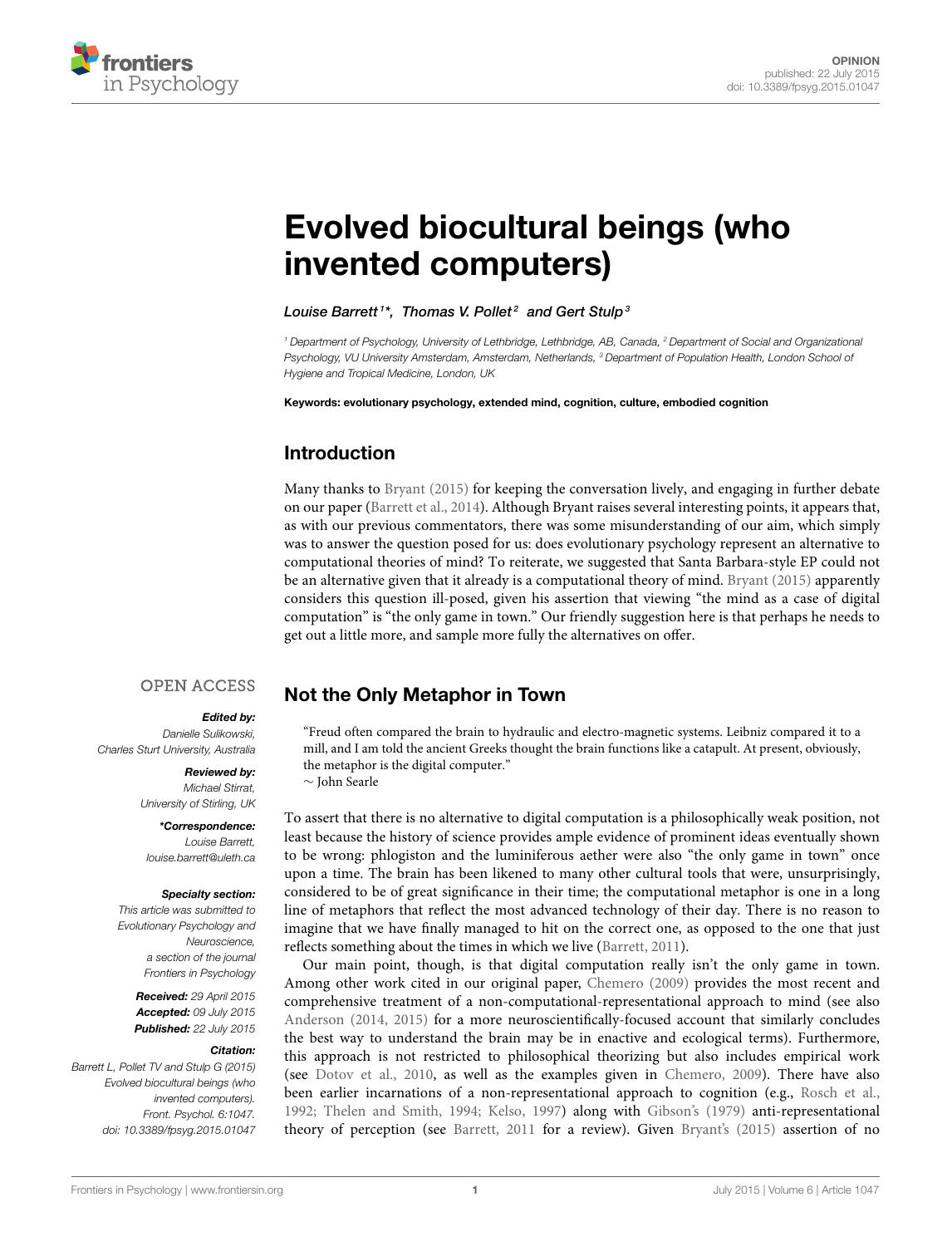

# [Evolved biocultural beings \(who](http://journal.frontiersin.org/article/10.3389/fpsyg.2015.01047/full) invented computers)

[Louise Barrett](http://loop.frontiersin.org/people/60481/overview)1\*, [Thomas V. Pollet](http://loop.frontiersin.org/people/88364/overview) $^{\mathsf{2}}$  and [Gert Stulp](http://loop.frontiersin.org/people/113030/overview) $^{\mathsf{3}}$ 

*<sup>1</sup> Department of Psychology, University of Lethbridge, Lethbridge, AB, Canada, <sup>2</sup> Department of Social and Organizational Psychology, VU University Amsterdam, Amsterdam, Netherlands, <sup>3</sup> Department of Population Health, London School of Hygiene and Tropical Medicine, London, UK*

Keywords: evolutionary psychology, extended mind, cognition, culture, embodied cognition

## Introduction

Many thanks to [Bryant \(2015\)](#page-3-0) for keeping the conversation lively, and engaging in further debate on our paper [\(Barrett et al., 2014\)](#page-3-1). Although Bryant raises several interesting points, it appears that, as with our previous commentators, there was some misunderstanding of our aim, which simply was to answer the question posed for us: does evolutionary psychology represent an alternative to computational theories of mind? To reiterate, we suggested that Santa Barbara-style EP could not be an alternative given that it already is a computational theory of mind. [Bryant \(2015\)](#page-3-0) apparently considers this question ill-posed, given his assertion that viewing "the mind as a case of digital computation" is "the only game in town." Our friendly suggestion here is that perhaps he needs to get out a little more, and sample more fully the alternatives on offer.

#### **OPEN ACCESS**

#### Edited by:

*Danielle Sulikowski, Charles Sturt University, Australia*

#### Reviewed by:

*Michael Stirrat, University of Stirling, UK*

\*Correspondence: *Louise Barrett, [louise.barrett@uleth.ca](mailto:louise.barrett@uleth.ca)*

#### Specialty section:

*This article was submitted to Evolutionary Psychology and Neuroscience, a section of the journal Frontiers in Psychology*

> Received: *29 April 2015* Accepted: *09 July 2015* Published: *22 July 2015*

#### Citation:

*Barrett L, Pollet TV and Stulp G (2015) Evolved biocultural beings (who invented computers). Front. Psychol. 6:1047. doi: [10.3389/fpsyg.2015.01047](http://dx.doi.org/10.3389/fpsyg.2015.01047)*

## Not the Only Metaphor in Town

"Freud often compared the brain to hydraulic and electro-magnetic systems. Leibniz compared it to a mill, and I am told the ancient Greeks thought the brain functions like a catapult. At present, obviously, the metaphor is the digital computer."

∼ John Searle

To assert that there is no alternative to digital computation is a philosophically weak position, not least because the history of science provides ample evidence of prominent ideas eventually shown to be wrong: phlogiston and the luminiferous aether were also "the only game in town" once upon a time. The brain has been likened to many other cultural tools that were, unsurprisingly, considered to be of great significance in their time; the computational metaphor is one in a long line of metaphors that reflect the most advanced technology of their day. There is no reason to imagine that we have finally managed to hit on the correct one, as opposed to the one that just reflects something about the times in which we live [\(Barrett, 2011\)](#page-3-2).

Our main point, though, is that digital computation really isn't the only game in town. Among other work cited in our original paper, [Chemero \(2009\)](#page-3-3) provides the most recent and comprehensive treatment of a non-computational-representational approach to mind (see also [Anderson \(2014,](#page-3-4) [2015\)](#page-3-5) for a more neuroscientifically-focused account that similarly concludes the best way to understand the brain may be in enactive and ecological terms). Furthermore, this approach is not restricted to philosophical theorizing but also includes empirical work (see [Dotov et al., 2010,](#page-3-6) as well as the examples given in [Chemero, 2009\)](#page-3-3). There have also been earlier incarnations of a non-representational approach to cognition (e.g., [Rosch et al.,](#page-3-7) [1992;](#page-3-7) [Thelen and Smith, 1994;](#page-3-8) [Kelso, 1997\)](#page-3-9) along with [Gibson's \(1979\)](#page-3-10) anti-representational theory of perception (see [Barrett, 2011](#page-3-2) for a review). Given [Bryant's \(2015\)](#page-3-0) assertion of no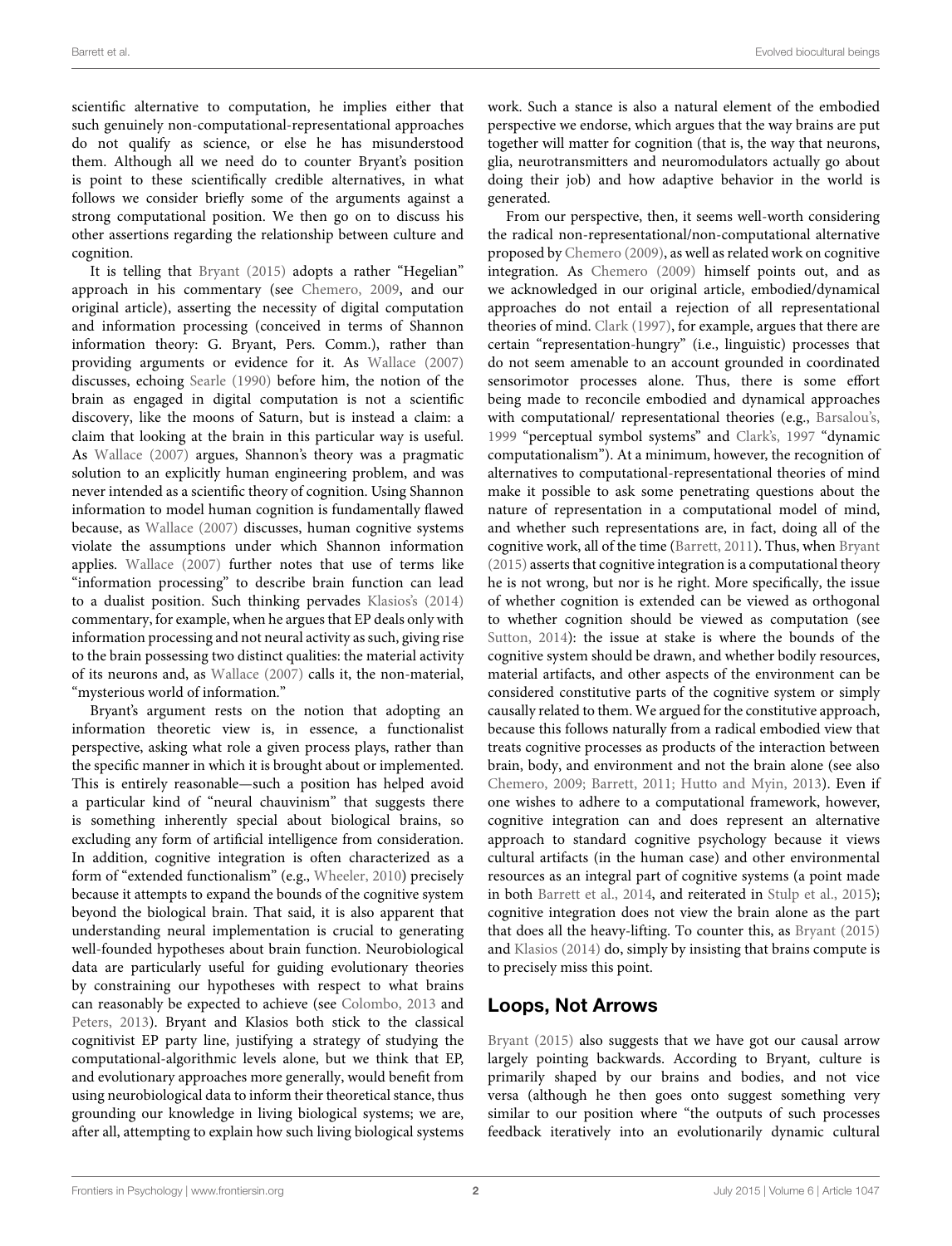scientific alternative to computation, he implies either that such genuinely non-computational-representational approaches do not qualify as science, or else he has misunderstood them. Although all we need do to counter Bryant's position is point to these scientifically credible alternatives, in what follows we consider briefly some of the arguments against a strong computational position. We then go on to discuss his other assertions regarding the relationship between culture and cognition.

It is telling that [Bryant \(2015\)](#page-3-0) adopts a rather "Hegelian" approach in his commentary (see [Chemero, 2009,](#page-3-3) and our original article), asserting the necessity of digital computation and information processing (conceived in terms of Shannon information theory: G. Bryant, Pers. Comm.), rather than providing arguments or evidence for it. As [Wallace \(2007\)](#page-3-11) discusses, echoing [Searle \(1990\)](#page-3-12) before him, the notion of the brain as engaged in digital computation is not a scientific discovery, like the moons of Saturn, but is instead a claim: a claim that looking at the brain in this particular way is useful. As [Wallace \(2007\)](#page-3-11) argues, Shannon's theory was a pragmatic solution to an explicitly human engineering problem, and was never intended as a scientific theory of cognition. Using Shannon information to model human cognition is fundamentally flawed because, as [Wallace \(2007\)](#page-3-11) discusses, human cognitive systems violate the assumptions under which Shannon information applies. [Wallace \(2007\)](#page-3-11) further notes that use of terms like "information processing" to describe brain function can lead to a dualist position. Such thinking pervades [Klasios's \(2014\)](#page-3-13) commentary, for example, when he argues that EP deals only with information processing and not neural activity as such, giving rise to the brain possessing two distinct qualities: the material activity of its neurons and, as [Wallace \(2007\)](#page-3-11) calls it, the non-material, "mysterious world of information."

Bryant's argument rests on the notion that adopting an information theoretic view is, in essence, a functionalist perspective, asking what role a given process plays, rather than the specific manner in which it is brought about or implemented. This is entirely reasonable—such a position has helped avoid a particular kind of "neural chauvinism" that suggests there is something inherently special about biological brains, so excluding any form of artificial intelligence from consideration. In addition, cognitive integration is often characterized as a form of "extended functionalism" (e.g., [Wheeler, 2010\)](#page-3-14) precisely because it attempts to expand the bounds of the cognitive system beyond the biological brain. That said, it is also apparent that understanding neural implementation is crucial to generating well-founded hypotheses about brain function. Neurobiological data are particularly useful for guiding evolutionary theories by constraining our hypotheses with respect to what brains can reasonably be expected to achieve (see [Colombo, 2013](#page-3-15) and [Peters, 2013\)](#page-3-16). Bryant and Klasios both stick to the classical cognitivist EP party line, justifying a strategy of studying the computational-algorithmic levels alone, but we think that EP, and evolutionary approaches more generally, would benefit from using neurobiological data to inform their theoretical stance, thus grounding our knowledge in living biological systems; we are, after all, attempting to explain how such living biological systems work. Such a stance is also a natural element of the embodied perspective we endorse, which argues that the way brains are put together will matter for cognition (that is, the way that neurons, glia, neurotransmitters and neuromodulators actually go about doing their job) and how adaptive behavior in the world is generated.

From our perspective, then, it seems well-worth considering the radical non-representational/non-computational alternative proposed by [Chemero \(2009\)](#page-3-3), as well as related work on cognitive integration. As [Chemero \(2009\)](#page-3-3) himself points out, and as we acknowledged in our original article, embodied/dynamical approaches do not entail a rejection of all representational theories of mind. [Clark \(1997\)](#page-3-17), for example, argues that there are certain "representation-hungry" (i.e., linguistic) processes that do not seem amenable to an account grounded in coordinated sensorimotor processes alone. Thus, there is some effort being made to reconcile embodied and dynamical approaches with computational/ representational theories (e.g., [Barsalou's,](#page-3-18) [1999](#page-3-18) "perceptual symbol systems" and [Clark's, 1997](#page-3-17) "dynamic computationalism"). At a minimum, however, the recognition of alternatives to computational-representational theories of mind make it possible to ask some penetrating questions about the nature of representation in a computational model of mind, and whether such representations are, in fact, doing all of the cognitive work, all of the time [\(Barrett, 2011\)](#page-3-2). Thus, when [Bryant](#page-3-0) [\(2015\)](#page-3-0) asserts that cognitive integration is a computational theory he is not wrong, but nor is he right. More specifically, the issue of whether cognition is extended can be viewed as orthogonal to whether cognition should be viewed as computation (see [Sutton, 2014\)](#page-3-19): the issue at stake is where the bounds of the cognitive system should be drawn, and whether bodily resources, material artifacts, and other aspects of the environment can be considered constitutive parts of the cognitive system or simply causally related to them. We argued for the constitutive approach, because this follows naturally from a radical embodied view that treats cognitive processes as products of the interaction between brain, body, and environment and not the brain alone (see also [Chemero, 2009;](#page-3-3) [Barrett, 2011;](#page-3-2) [Hutto and Myin, 2013\)](#page-3-20). Even if one wishes to adhere to a computational framework, however, cognitive integration can and does represent an alternative approach to standard cognitive psychology because it views cultural artifacts (in the human case) and other environmental resources as an integral part of cognitive systems (a point made in both [Barrett et al., 2014,](#page-3-1) and reiterated in [Stulp et al., 2015\)](#page-3-21); cognitive integration does not view the brain alone as the part that does all the heavy-lifting. To counter this, as [Bryant \(2015\)](#page-3-0) and [Klasios \(2014\)](#page-3-13) do, simply by insisting that brains compute is to precisely miss this point.

## Loops, Not Arrows

[Bryant \(2015\)](#page-3-0) also suggests that we have got our causal arrow largely pointing backwards. According to Bryant, culture is primarily shaped by our brains and bodies, and not vice versa (although he then goes onto suggest something very similar to our position where "the outputs of such processes feedback iteratively into an evolutionarily dynamic cultural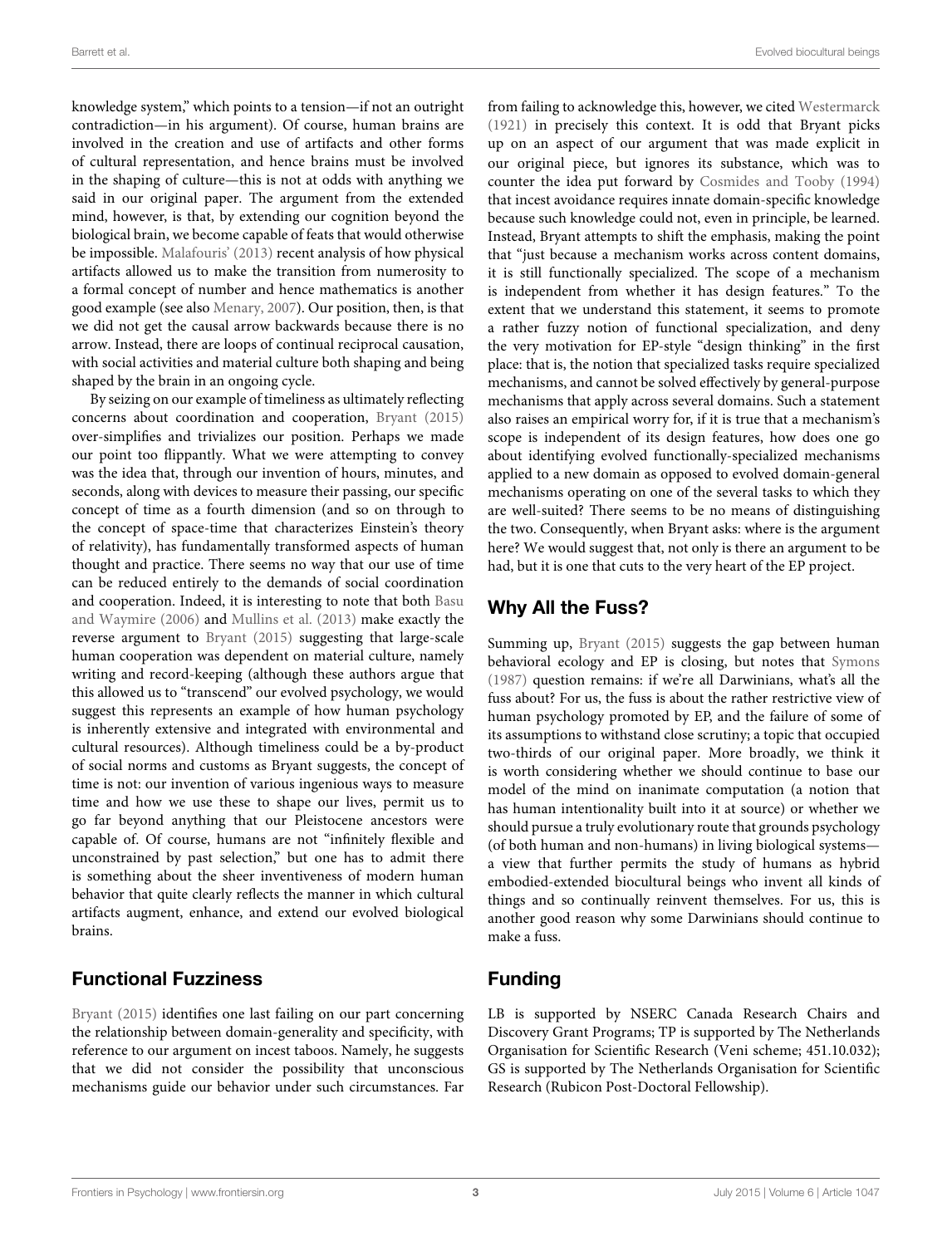knowledge system," which points to a tension—if not an outright contradiction—in his argument). Of course, human brains are involved in the creation and use of artifacts and other forms of cultural representation, and hence brains must be involved in the shaping of culture—this is not at odds with anything we said in our original paper. The argument from the extended mind, however, is that, by extending our cognition beyond the biological brain, we become capable of feats that would otherwise be impossible. [Malafouris' \(2013\)](#page-3-22) recent analysis of how physical artifacts allowed us to make the transition from numerosity to a formal concept of number and hence mathematics is another good example (see also [Menary, 2007\)](#page-3-23). Our position, then, is that we did not get the causal arrow backwards because there is no arrow. Instead, there are loops of continual reciprocal causation, with social activities and material culture both shaping and being shaped by the brain in an ongoing cycle.

By seizing on our example of timeliness as ultimately reflecting concerns about coordination and cooperation, [Bryant \(2015\)](#page-3-0) over-simplifies and trivializes our position. Perhaps we made our point too flippantly. What we were attempting to convey was the idea that, through our invention of hours, minutes, and seconds, along with devices to measure their passing, our specific concept of time as a fourth dimension (and so on through to the concept of space-time that characterizes Einstein's theory of relativity), has fundamentally transformed aspects of human thought and practice. There seems no way that our use of time can be reduced entirely to the demands of social coordination and cooperation. Indeed, it is interesting to note that both Basu and Waymire [\(2006\)](#page-3-24) and [Mullins et al. \(2013\)](#page-3-25) make exactly the reverse argument to [Bryant \(2015\)](#page-3-0) suggesting that large-scale human cooperation was dependent on material culture, namely writing and record-keeping (although these authors argue that this allowed us to "transcend" our evolved psychology, we would suggest this represents an example of how human psychology is inherently extensive and integrated with environmental and cultural resources). Although timeliness could be a by-product of social norms and customs as Bryant suggests, the concept of time is not: our invention of various ingenious ways to measure time and how we use these to shape our lives, permit us to go far beyond anything that our Pleistocene ancestors were capable of. Of course, humans are not "infinitely flexible and unconstrained by past selection," but one has to admit there is something about the sheer inventiveness of modern human behavior that quite clearly reflects the manner in which cultural artifacts augment, enhance, and extend our evolved biological brains.

## Functional Fuzziness

[Bryant \(2015\)](#page-3-0) identifies one last failing on our part concerning the relationship between domain-generality and specificity, with reference to our argument on incest taboos. Namely, he suggests that we did not consider the possibility that unconscious mechanisms guide our behavior under such circumstances. Far

from failing to acknowledge this, however, we cited [Westermarck](#page-3-26) [\(1921\)](#page-3-26) in precisely this context. It is odd that Bryant picks up on an aspect of our argument that was made explicit in our original piece, but ignores its substance, which was to counter the idea put forward by [Cosmides and Tooby \(1994\)](#page-3-27) that incest avoidance requires innate domain-specific knowledge because such knowledge could not, even in principle, be learned. Instead, Bryant attempts to shift the emphasis, making the point that "just because a mechanism works across content domains, it is still functionally specialized. The scope of a mechanism is independent from whether it has design features." To the extent that we understand this statement, it seems to promote a rather fuzzy notion of functional specialization, and deny the very motivation for EP-style "design thinking" in the first place: that is, the notion that specialized tasks require specialized mechanisms, and cannot be solved effectively by general-purpose mechanisms that apply across several domains. Such a statement also raises an empirical worry for, if it is true that a mechanism's scope is independent of its design features, how does one go about identifying evolved functionally-specialized mechanisms applied to a new domain as opposed to evolved domain-general mechanisms operating on one of the several tasks to which they are well-suited? There seems to be no means of distinguishing the two. Consequently, when Bryant asks: where is the argument here? We would suggest that, not only is there an argument to be had, but it is one that cuts to the very heart of the EP project.

# Why All the Fuss?

Summing up, [Bryant \(2015\)](#page-3-0) suggests the gap between human behavioral ecology and EP is closing, but notes that [Symons](#page-3-28) [\(1987\)](#page-3-28) question remains: if we're all Darwinians, what's all the fuss about? For us, the fuss is about the rather restrictive view of human psychology promoted by EP, and the failure of some of its assumptions to withstand close scrutiny; a topic that occupied two-thirds of our original paper. More broadly, we think it is worth considering whether we should continue to base our model of the mind on inanimate computation (a notion that has human intentionality built into it at source) or whether we should pursue a truly evolutionary route that grounds psychology (of both human and non-humans) in living biological systems a view that further permits the study of humans as hybrid embodied-extended biocultural beings who invent all kinds of things and so continually reinvent themselves. For us, this is another good reason why some Darwinians should continue to make a fuss.

# Funding

LB is supported by NSERC Canada Research Chairs and Discovery Grant Programs; TP is supported by The Netherlands Organisation for Scientific Research (Veni scheme; 451.10.032); GS is supported by The Netherlands Organisation for Scientific Research (Rubicon Post-Doctoral Fellowship).